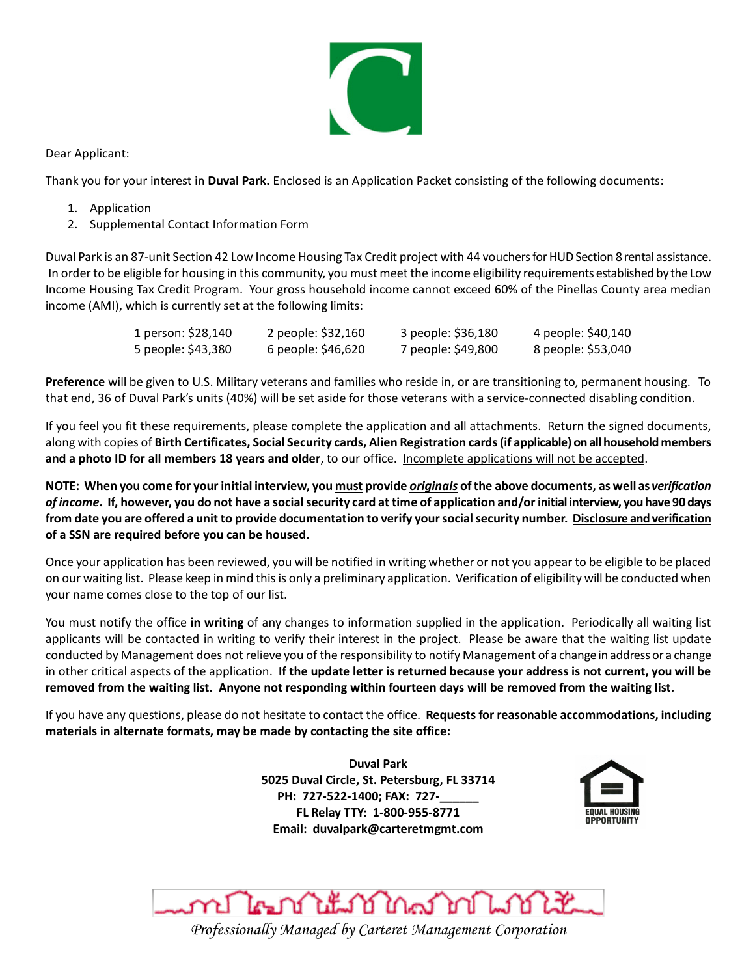

Dear Applicant:

Thank you for your interest in **Duval Park.** Enclosed is an Application Packet consisting of the following documents:

- 1. Application
- 2. Supplemental Contact Information Form

Duval Park is an 87-unit Section 42 Low Income Housing Tax Credit project with 44 vouchers forHUD Section 8 rental assistance. In order to be eligible for housing in this community, you must meet the income eligibility requirements established by the Low Income Housing Tax Credit Program. Your gross household income cannot exceed 60% of the Pinellas County area median income (AMI), which is currently set at the following limits:

| 1 person: \$28,140 | 2 people: \$32,160 | 3 people: \$36,180 | 4 people: \$40,140 |
|--------------------|--------------------|--------------------|--------------------|
| 5 people: \$43,380 | 6 people: \$46,620 | 7 people: \$49,800 | 8 people: \$53,040 |

**Preference** will be given to U.S. Military veterans and families who reside in, or are transitioning to, permanent housing. To that end, 36 of Duval Park's units (40%) will be set aside for those veterans with a service-connected disabling condition.

If you feel you fit these requirements, please complete the application and all attachments. Return the signed documents, along with copies of **Birth Certificates, Social Security cards, Alien Registration cards (if applicable) on all household members and a photo ID for all members 18 years and older**, to our office. Incomplete applications will not be accepted.

**NOTE: When you come for your initial interview, you must provide** *originals* **of the above documents, as well as** *verification of income***. If, however, you do not have a social security card at time of application and/or initial interview, you have 90 days from date you are offered a unit to provide documentation to verify your social security number. Disclosure and verification of a SSN are required before you can be housed.**

Once your application has been reviewed, you will be notified in writing whether or not you appear to be eligible to be placed on our waiting list. Please keep in mind this is only a preliminary application. Verification of eligibility will be conducted when your name comes close to the top of our list.

You must notify the office **in writing** of any changes to information supplied in the application. Periodically all waiting list applicants will be contacted in writing to verify their interest in the project. Please be aware that the waiting list update conducted by Management does not relieve you of the responsibility to notify Management of a change in address or a change in other critical aspects of the application. **If the update letter is returned because your address is not current, you will be removed from the waiting list. Anyone not responding within fourteen days will be removed from the waiting list.**

If you have any questions, please do not hesitate to contact the office. **Requests for reasonable accommodations, including materials in alternate formats, may be made by contacting the site office:**

> **Duval Park 5025 Duval Circle, St. Petersburg, FL 33714 PH: 727-522-1400; FAX: 727-\_\_\_\_\_\_ FL Relay TTY: 1-800-955-8771 Email: duvalpark@carteretmgmt.com**



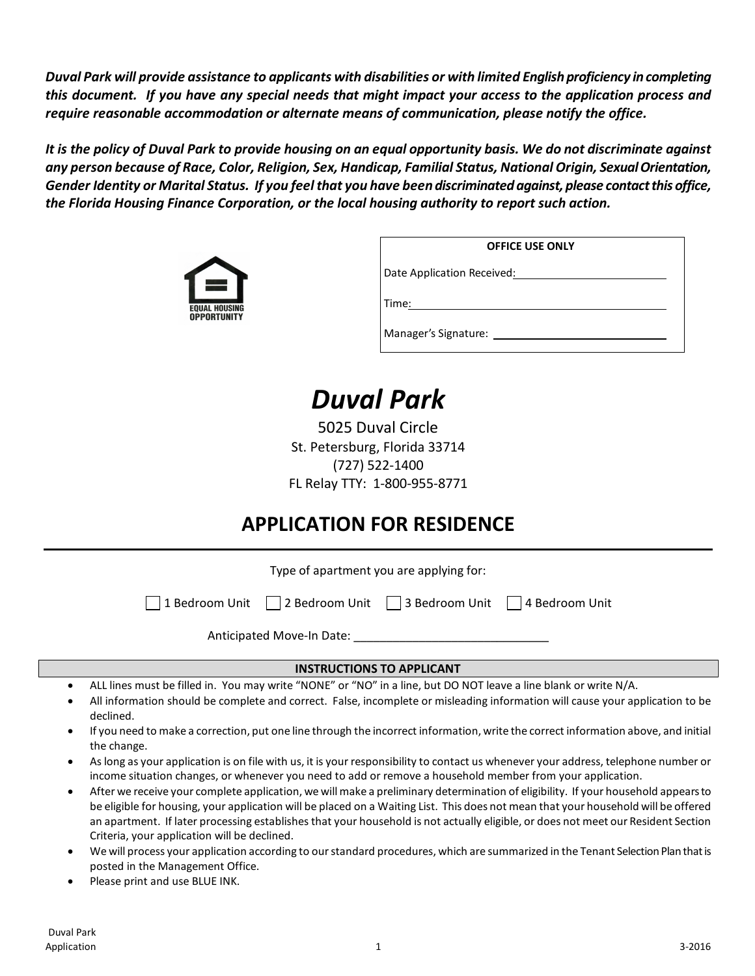*Duval Park will provide assistance to applicants with disabilities or with limited English proficiency in completing this document. If you have any special needs that might impact your access to the application process and require reasonable accommodation or alternate means of communication, please notify the office.*

*It is the policy of Duval Park to provide housing on an equal opportunity basis. We do not discriminate against any person because of Race, Color, Religion, Sex, Handicap, Familial Status, National Origin, Sexual Orientation, Gender Identity or Marital Status. If you feel that you have been discriminated against, please contact this office, the Florida Housing Finance Corporation, or the local housing authority to report such action.*



|                            | <b>OFFICE USE ONLY</b> |
|----------------------------|------------------------|
| Date Application Received: |                        |
| Time:                      |                        |
| Manager's Signature:       |                        |

# *Duval Park*

5025 Duval Circle St. Petersburg, Florida 33714 (727) 522-1400 FL Relay TTY: 1-800-955-8771

# **APPLICATION FOR RESIDENCE**

Type of apartment you are applying for:

1 Bedroom Unit  $\Box$  2 Bedroom Unit  $\Box$  3 Bedroom Unit  $\Box$  4 Bedroom Unit

Anticipated Move-In Date:

#### **INSTRUCTIONS TO APPLICANT**

- ALL lines must be filled in. You may write "NONE" or "NO" in a line, but DO NOT leave a line blank or write N/A.
- All information should be complete and correct. False, incomplete or misleading information will cause your application to be declined.
- If you need to make a correction, put one line through the incorrect information, write the correct information above, and initial the change.
- As long as your application is on file with us, it is your responsibility to contact us whenever your address, telephone number or income situation changes, or whenever you need to add or remove a household member from your application.
- After we receive your complete application, we will make a preliminary determination of eligibility. If your household appears to be eligible for housing, your application will be placed on a Waiting List. This does not mean that your household will be offered an apartment. If later processing establishes that your household is not actually eligible, or does not meet our Resident Section Criteria, your application will be declined.
- We will process your application according to our standard procedures, which are summarized in the Tenant Selection Plan that is posted in the Management Office.
- Please print and use BLUE INK.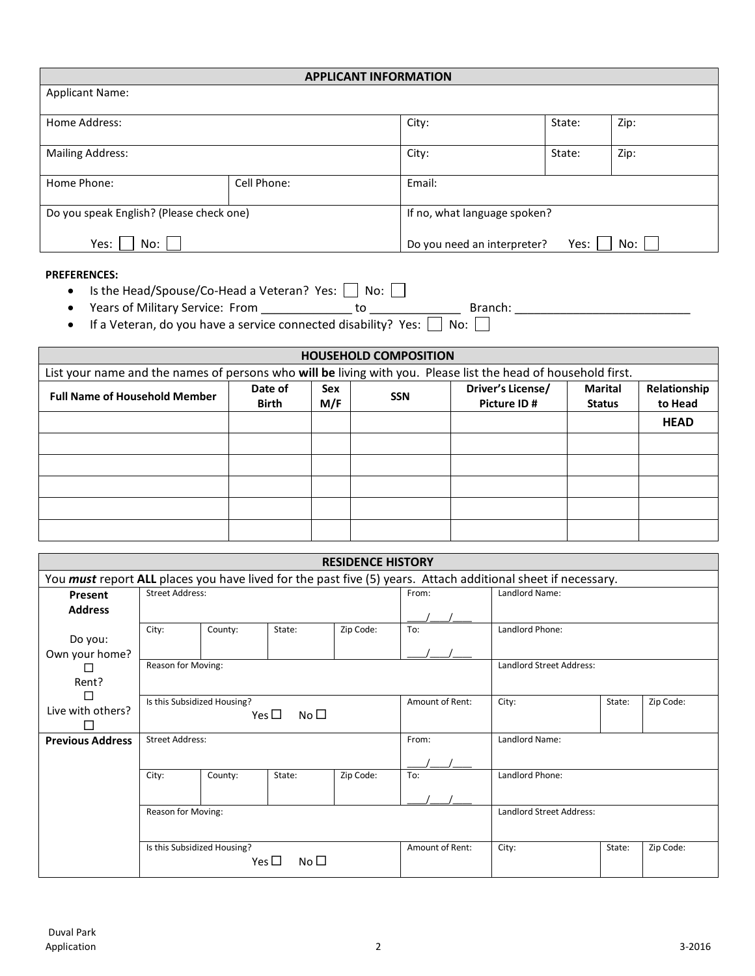| <b>APPLICANT INFORMATION</b>             |             |                              |        |      |  |  |  |  |
|------------------------------------------|-------------|------------------------------|--------|------|--|--|--|--|
| <b>Applicant Name:</b>                   |             |                              |        |      |  |  |  |  |
| Home Address:                            |             | City:                        | State: | Zip: |  |  |  |  |
| <b>Mailing Address:</b>                  |             | City:                        | State: | Zip: |  |  |  |  |
| Home Phone:                              | Cell Phone: | Email:                       |        |      |  |  |  |  |
| Do you speak English? (Please check one) |             | If no, what language spoken? |        |      |  |  |  |  |
| Yes:<br>No:                              |             | Do you need an interpreter?  | Yes:   | No:  |  |  |  |  |

#### **PREFERENCES:**

- Is the Head/Spouse/Co-Head a Veteran? Yes:  $\Box$  No:  $\Box$
- Years of Military Service: From \_\_\_\_\_\_\_\_\_\_\_\_\_\_ to \_\_\_\_\_\_\_\_\_\_\_\_\_\_ Branch: \_\_\_\_\_\_\_\_\_\_\_\_\_\_\_\_\_\_\_\_\_\_\_\_\_\_\_
- If a Veteran, do you have a service connected disability? Yes:  $\Box$  No:  $\Box$

| <b>HOUSEHOLD COMPOSITION</b>                                                                                         |              |     |  |             |               |             |  |  |
|----------------------------------------------------------------------------------------------------------------------|--------------|-----|--|-------------|---------------|-------------|--|--|
| List your name and the names of persons who will be living with you. Please list the head of household first.        |              |     |  |             |               |             |  |  |
| Driver's License/<br>Relationship<br>Date of<br>Marital<br>Sex<br><b>Full Name of Household Member</b><br><b>SSN</b> |              |     |  |             |               |             |  |  |
|                                                                                                                      | <b>Birth</b> | M/F |  | Picture ID# | <b>Status</b> | to Head     |  |  |
|                                                                                                                      |              |     |  |             |               | <b>HEAD</b> |  |  |
|                                                                                                                      |              |     |  |             |               |             |  |  |
|                                                                                                                      |              |     |  |             |               |             |  |  |
|                                                                                                                      |              |     |  |             |               |             |  |  |
|                                                                                                                      |              |     |  |             |               |             |  |  |
|                                                                                                                      |              |     |  |             |               |             |  |  |

| <b>RESIDENCE HISTORY</b> |                                                                                                                     |                             |                                  |                |                 |                                 |        |           |  |  |
|--------------------------|---------------------------------------------------------------------------------------------------------------------|-----------------------------|----------------------------------|----------------|-----------------|---------------------------------|--------|-----------|--|--|
|                          | You <i>must</i> report ALL places you have lived for the past five (5) years. Attach additional sheet if necessary. |                             |                                  |                |                 |                                 |        |           |  |  |
| Present                  | <b>Street Address:</b>                                                                                              |                             | From:                            | Landlord Name: |                 |                                 |        |           |  |  |
| <b>Address</b>           |                                                                                                                     |                             |                                  |                |                 |                                 |        |           |  |  |
| Do you:                  | City:                                                                                                               | County:                     | State:                           | Zip Code:      | To:             | Landlord Phone:                 |        |           |  |  |
| Own your home?           |                                                                                                                     |                             |                                  |                |                 |                                 |        |           |  |  |
|                          | Reason for Moving:                                                                                                  |                             |                                  |                |                 | <b>Landlord Street Address:</b> |        |           |  |  |
| Rent?                    |                                                                                                                     |                             |                                  |                |                 |                                 |        |           |  |  |
|                          |                                                                                                                     | Is this Subsidized Housing? |                                  |                | Amount of Rent: | City:                           | State: | Zip Code: |  |  |
| Live with others?        |                                                                                                                     |                             | No <sub>1</sub><br>Yes $\square$ |                |                 |                                 |        |           |  |  |
|                          |                                                                                                                     |                             |                                  |                |                 |                                 |        |           |  |  |
| <b>Previous Address</b>  | <b>Street Address:</b>                                                                                              |                             |                                  |                | From:           | Landlord Name:                  |        |           |  |  |
|                          |                                                                                                                     |                             |                                  |                |                 |                                 |        |           |  |  |
|                          | City:                                                                                                               | County:                     | State:                           | Zip Code:      | To:             | Landlord Phone:                 |        |           |  |  |
|                          |                                                                                                                     |                             |                                  |                |                 |                                 |        |           |  |  |
|                          | Reason for Moving:                                                                                                  |                             |                                  |                |                 | <b>Landlord Street Address:</b> |        |           |  |  |
|                          |                                                                                                                     |                             |                                  |                |                 |                                 |        |           |  |  |
|                          |                                                                                                                     | Is this Subsidized Housing? | No <sub>1</sub><br>Yes $\square$ |                | Amount of Rent: | City:                           | State: | Zip Code: |  |  |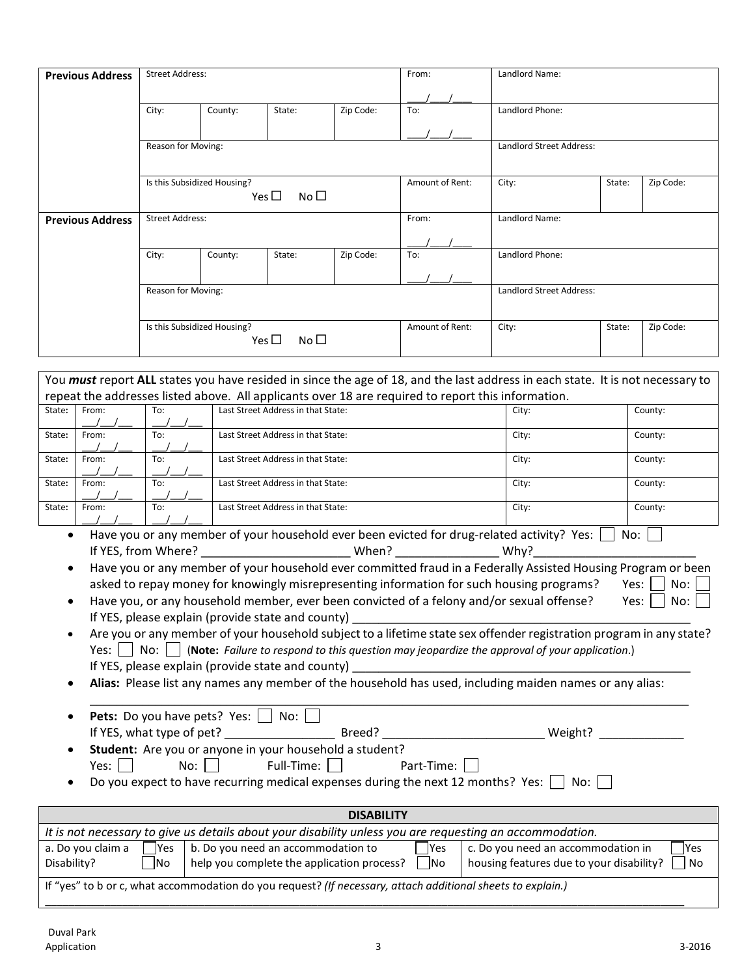|                                                                 | <b>Street Address:</b> |                             |                               |           | From:                    | Landlord Name:                  |        |           |  |
|-----------------------------------------------------------------|------------------------|-----------------------------|-------------------------------|-----------|--------------------------|---------------------------------|--------|-----------|--|
|                                                                 | City:                  | County:                     | State:                        | Zip Code: | To:                      | Landlord Phone:                 |        |           |  |
|                                                                 |                        |                             |                               |           |                          |                                 |        |           |  |
|                                                                 | Reason for Moving:     |                             |                               |           |                          | <b>Landlord Street Address:</b> |        |           |  |
|                                                                 |                        | Is this Subsidized Housing? | Yes $\square$<br>No $\square$ |           | Amount of Rent:          | City:                           | State: | Zip Code: |  |
| <b>Previous Address</b>                                         | <b>Street Address:</b> |                             |                               | From:     | Landlord Name:           |                                 |        |           |  |
|                                                                 | City:                  | County:                     | State:                        | Zip Code: | To:                      | Landlord Phone:                 |        |           |  |
|                                                                 | Reason for Moving:     |                             |                               |           | Landlord Street Address: |                                 |        |           |  |
| Is this Subsidized Housing?<br>Yes $\square$<br>No <sub>1</sub> |                        |                             | Amount of Rent:               | City:     | State:                   | Zip Code:                       |        |           |  |

| repeat the addresses listed above. All applicants over 18 are required to report this information. |  |  |  |  |  |  |  |
|----------------------------------------------------------------------------------------------------|--|--|--|--|--|--|--|
| County:                                                                                            |  |  |  |  |  |  |  |
|                                                                                                    |  |  |  |  |  |  |  |
| County:                                                                                            |  |  |  |  |  |  |  |
|                                                                                                    |  |  |  |  |  |  |  |
| County:                                                                                            |  |  |  |  |  |  |  |
|                                                                                                    |  |  |  |  |  |  |  |
| County:                                                                                            |  |  |  |  |  |  |  |
|                                                                                                    |  |  |  |  |  |  |  |
| County:                                                                                            |  |  |  |  |  |  |  |
|                                                                                                    |  |  |  |  |  |  |  |
|                                                                                                    |  |  |  |  |  |  |  |

• Have you or any member of your household ever been evicted for drug-related activity? Yes:  $\Box$  No:  $\Box$ If YES, from Where? \_\_\_\_\_\_\_\_\_\_\_\_\_\_\_\_\_\_\_\_\_\_\_ When? \_\_\_\_\_\_\_\_\_\_\_\_\_\_\_\_ Why?\_\_\_\_\_\_\_\_\_\_\_\_\_\_\_\_\_\_\_\_\_\_\_\_\_

• Have you or any member of your household ever committed fraud in a Federally Assisted Housing Program or been asked to repay money for knowingly misrepresenting information for such housing programs? Yes:  $\Box$  No:

| Have you, or any household member, ever been convicted of a felony and/or sexual offense? | Yes: $\vert$ $\vert$ No: |
|-------------------------------------------------------------------------------------------|--------------------------|
| If YES, please explain (provide state and county)                                         |                          |
|                                                                                           |                          |

| Are you or any member of your household subject to a lifetime state sex offender registration program in any state? |
|---------------------------------------------------------------------------------------------------------------------|
| Yes: $\Box$ No: $\Box$ (Note: Failure to respond to this question may jeopardize the approval of your application.) |
| If YES, please explain (provide state and county)                                                                   |

• **Alias:** Please list any names any member of the household has used, including maiden names or any alias:

| $\bullet$ | <b>Pets:</b> Do you have pets? Yes: $\Box$ No: $\Box$ |        |        |  |
|-----------|-------------------------------------------------------|--------|--------|--|
|           | If YES, what type of pet?                             | Breed? | Weight |  |
|           |                                                       |        |        |  |

• **Student:** Are you or anyone in your household a student?  $Yes: \Box \qquad No: \Box \qquad Full-Time: \Box \qquad Part-Time: \Box$ 

Do you expect to have recurring medical expenses during the next 12 months? Yes:  $\Box$  No:  $\Box$ 

| <b>DISABILITY</b>                                                                                                                                                                                                                                                                     |                                                                                                          |  |  |  |  |  |
|---------------------------------------------------------------------------------------------------------------------------------------------------------------------------------------------------------------------------------------------------------------------------------------|----------------------------------------------------------------------------------------------------------|--|--|--|--|--|
|                                                                                                                                                                                                                                                                                       | It is not necessary to give us details about your disability unless you are requesting an accommodation. |  |  |  |  |  |
| a. Do you claim a<br>c. Do you need an accommodation in<br>b. Do you need an accommodation to<br><b>IYes</b><br><b>Yes</b><br><b>Yes</b><br>$\neg$ No<br>help you complete the application process?<br>$ $ No<br>housing features due to your disability?<br>Disability?<br><b>No</b> |                                                                                                          |  |  |  |  |  |
| If "yes" to b or c, what accommodation do you request? (If necessary, attach additional sheets to explain.)                                                                                                                                                                           |                                                                                                          |  |  |  |  |  |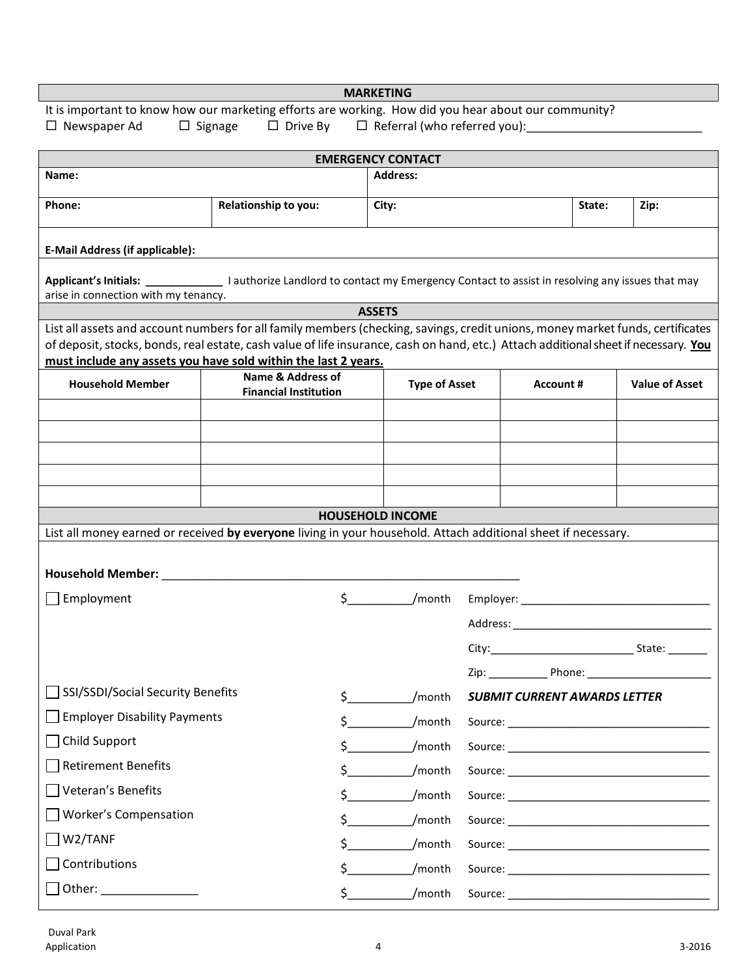| <b>MARKETING</b>                                                                                                                                                                                      |                                                                                                      |                               |                                                                                                                                                                                                                                |        |                       |  |  |  |
|-------------------------------------------------------------------------------------------------------------------------------------------------------------------------------------------------------|------------------------------------------------------------------------------------------------------|-------------------------------|--------------------------------------------------------------------------------------------------------------------------------------------------------------------------------------------------------------------------------|--------|-----------------------|--|--|--|
|                                                                                                                                                                                                       | It is important to know how our marketing efforts are working. How did you hear about our community? |                               |                                                                                                                                                                                                                                |        |                       |  |  |  |
| $\Box$ Signage $\Box$ Drive By $\Box$ Referral (who referred you):<br>$\Box$ Newspaper Ad                                                                                                             |                                                                                                      |                               |                                                                                                                                                                                                                                |        |                       |  |  |  |
|                                                                                                                                                                                                       |                                                                                                      | <b>EMERGENCY CONTACT</b>      |                                                                                                                                                                                                                                |        |                       |  |  |  |
| Name:                                                                                                                                                                                                 |                                                                                                      | Address:                      |                                                                                                                                                                                                                                |        |                       |  |  |  |
| Phone:                                                                                                                                                                                                | Relationship to you:                                                                                 | City:                         |                                                                                                                                                                                                                                | State: | Zip:                  |  |  |  |
| <b>E-Mail Address (if applicable):</b>                                                                                                                                                                |                                                                                                      |                               |                                                                                                                                                                                                                                |        |                       |  |  |  |
| Applicant's Initials:     authorize Landlord to contact my Emergency Contact to assist in resolving any issues that may<br>arise in connection with my tenancy.                                       |                                                                                                      |                               |                                                                                                                                                                                                                                |        |                       |  |  |  |
|                                                                                                                                                                                                       |                                                                                                      | <b>ASSETS</b>                 |                                                                                                                                                                                                                                |        |                       |  |  |  |
| List all assets and account numbers for all family members (checking, savings, credit unions, money market funds, certificates                                                                        |                                                                                                      |                               |                                                                                                                                                                                                                                |        |                       |  |  |  |
| of deposit, stocks, bonds, real estate, cash value of life insurance, cash on hand, etc.) Attach additional sheet if necessary. You<br>must include any assets you have sold within the last 2 years. |                                                                                                      |                               |                                                                                                                                                                                                                                |        |                       |  |  |  |
| <b>Household Member</b>                                                                                                                                                                               | <b>Name &amp; Address of</b><br><b>Financial Institution</b>                                         | <b>Type of Asset</b>          | Account #                                                                                                                                                                                                                      |        | <b>Value of Asset</b> |  |  |  |
|                                                                                                                                                                                                       |                                                                                                      |                               |                                                                                                                                                                                                                                |        |                       |  |  |  |
|                                                                                                                                                                                                       |                                                                                                      |                               |                                                                                                                                                                                                                                |        |                       |  |  |  |
|                                                                                                                                                                                                       |                                                                                                      |                               |                                                                                                                                                                                                                                |        |                       |  |  |  |
|                                                                                                                                                                                                       |                                                                                                      |                               |                                                                                                                                                                                                                                |        |                       |  |  |  |
|                                                                                                                                                                                                       |                                                                                                      |                               |                                                                                                                                                                                                                                |        |                       |  |  |  |
| List all money earned or received by everyone living in your household. Attach additional sheet if necessary.                                                                                         |                                                                                                      | <b>HOUSEHOLD INCOME</b>       |                                                                                                                                                                                                                                |        |                       |  |  |  |
|                                                                                                                                                                                                       |                                                                                                      |                               |                                                                                                                                                                                                                                |        |                       |  |  |  |
| <b>Household Member:</b>                                                                                                                                                                              |                                                                                                      |                               |                                                                                                                                                                                                                                |        |                       |  |  |  |
| Employment                                                                                                                                                                                            |                                                                                                      | $\zeta$ and $\zeta$<br>/month |                                                                                                                                                                                                                                |        |                       |  |  |  |
|                                                                                                                                                                                                       |                                                                                                      |                               | Address: Analysis and the contract of the contract of the contract of the contract of the contract of the contract of the contract of the contract of the contract of the contract of the contract of the contract of the cont |        |                       |  |  |  |
|                                                                                                                                                                                                       |                                                                                                      |                               |                                                                                                                                                                                                                                |        |                       |  |  |  |
|                                                                                                                                                                                                       |                                                                                                      |                               | Zip: Phone: Phone:                                                                                                                                                                                                             |        |                       |  |  |  |
| SSI/SSDI/Social Security Benefits                                                                                                                                                                     | $\mathsf{\$}$                                                                                        | /month                        | <b>SUBMIT CURRENT AWARDS LETTER</b>                                                                                                                                                                                            |        |                       |  |  |  |
| <b>Employer Disability Payments</b>                                                                                                                                                                   | \$                                                                                                   | /month                        |                                                                                                                                                                                                                                |        |                       |  |  |  |
| Child Support                                                                                                                                                                                         | \$                                                                                                   | /month                        |                                                                                                                                                                                                                                |        |                       |  |  |  |
| <b>Retirement Benefits</b>                                                                                                                                                                            | \$                                                                                                   | /month                        |                                                                                                                                                                                                                                |        |                       |  |  |  |
| Veteran's Benefits                                                                                                                                                                                    | \$                                                                                                   | /month                        |                                                                                                                                                                                                                                |        |                       |  |  |  |
| <b>Worker's Compensation</b>                                                                                                                                                                          | \$                                                                                                   | /month                        |                                                                                                                                                                                                                                |        |                       |  |  |  |
| W2/TANF                                                                                                                                                                                               | \$                                                                                                   | /month                        |                                                                                                                                                                                                                                |        |                       |  |  |  |
| Contributions                                                                                                                                                                                         | \$                                                                                                   | /month                        |                                                                                                                                                                                                                                |        |                       |  |  |  |
|                                                                                                                                                                                                       |                                                                                                      | $\zeta$ and $\zeta$<br>/month |                                                                                                                                                                                                                                |        |                       |  |  |  |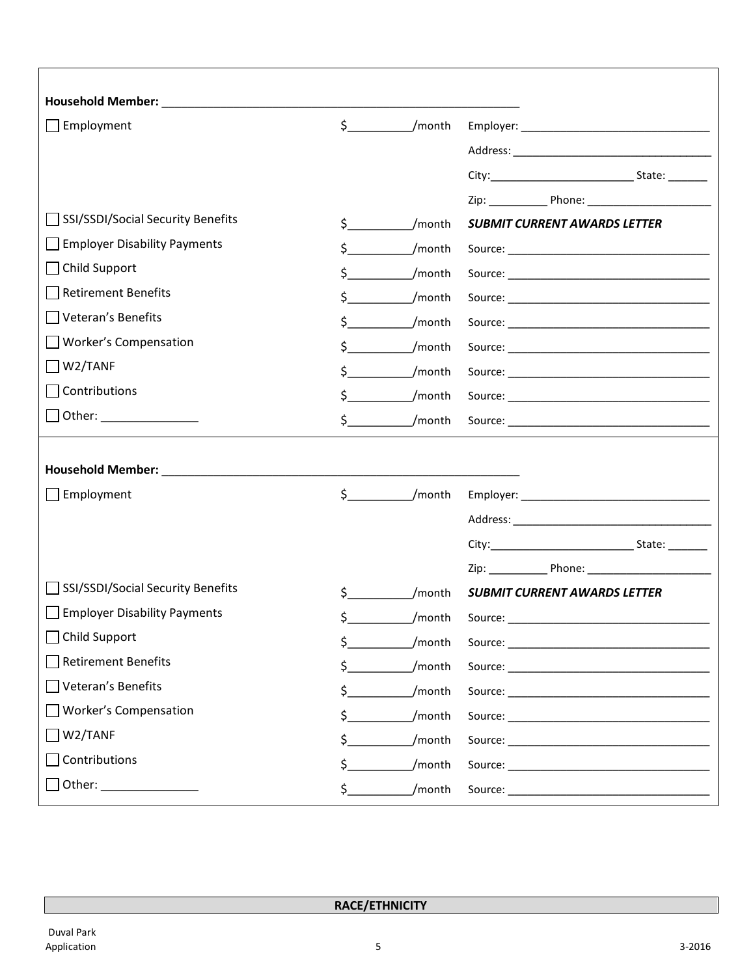|                       |                                                                                                  | <b>SUBMIT CURRENT AWARDS LETTER</b>            |
|-----------------------|--------------------------------------------------------------------------------------------------|------------------------------------------------|
|                       |                                                                                                  |                                                |
|                       |                                                                                                  |                                                |
| \$                    | /month                                                                                           |                                                |
| \$.                   | /month                                                                                           |                                                |
| \$                    | /month                                                                                           |                                                |
| \$                    | /month                                                                                           |                                                |
| \$.                   |                                                                                                  |                                                |
|                       |                                                                                                  |                                                |
| $\zeta$ and $\zeta$   | /month                                                                                           |                                                |
|                       |                                                                                                  |                                                |
|                       |                                                                                                  |                                                |
| $\sharp$ and $\sharp$ | /month                                                                                           |                                                |
|                       |                                                                                                  |                                                |
|                       |                                                                                                  |                                                |
|                       |                                                                                                  |                                                |
| \$                    | /month                                                                                           | <b>SUBMIT CURRENT AWARDS LETTER</b>            |
| \$.                   | /month                                                                                           |                                                |
| \$                    | /month                                                                                           |                                                |
| \$                    | /month                                                                                           |                                                |
| \$                    | /month                                                                                           |                                                |
| \$                    | /month                                                                                           |                                                |
| \$                    | /month                                                                                           |                                                |
| \$                    | /month                                                                                           |                                                |
|                       | $\zeta$<br>$\ddot{\mathsf{S}}$ , and the set of $\ddot{\mathsf{S}}$<br>$\mathsf{\dot{S}}$<br>\$. | /month<br>/month<br>/month<br>/month<br>/month |

**RACE/ETHNICITY**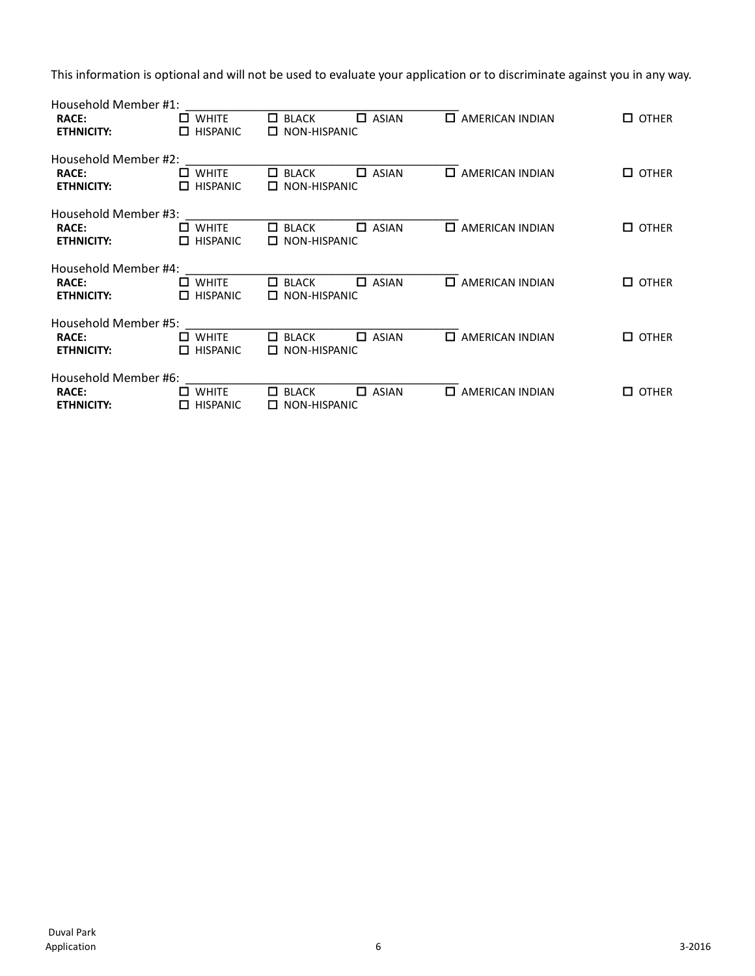This information is optional and will not be used to evaluate your application or to discriminate against you in any way.

| Household Member #1: |                      |                                         |                              |                                |
|----------------------|----------------------|-----------------------------------------|------------------------------|--------------------------------|
| <b>RACE:</b>         | $\square$ WHITE      | П.<br><b>BLACK</b><br>П<br><b>ASIAN</b> | п<br>AMERICAN INDIAN         | <b>OTHER</b>                   |
| <b>ETHNICITY:</b>    | $\Box$ HISPANIC      | $\Box$ NON-HISPANIC                     |                              |                                |
| Household Member #2: |                      |                                         |                              |                                |
| <b>RACE:</b>         | $\square$ WHITE      | <b>ASIAN</b><br>п<br>П<br><b>BLACK</b>  | <b>AMERICAN INDIAN</b><br>П. | <b>OTHER</b><br>$\Box$         |
| <b>ETHNICITY:</b>    | $\Box$ HISPANIC      | $\Box$ NON-HISPANIC                     |                              |                                |
| Household Member #3: |                      |                                         |                              |                                |
| <b>RACE:</b>         | WHITE                | <b>ASIAN</b><br>П<br>П<br>BLACK         | П.<br><b>AMERICAN INDIAN</b> | $\square$ other                |
| <b>ETHNICITY:</b>    | $\Box$ HISPANIC      | NON-HISPANIC<br>П                       |                              |                                |
| Household Member #4: |                      |                                         |                              |                                |
| RACE:                | $\square$ WHITE      | $\Box$ ASIAN<br>$\Box$ BLACK            | $\Box$ AMERICAN INDIAN       | $\square$ OTHER                |
| <b>ETHNICITY:</b>    | $\Box$ HISPANIC      | $\Box$ NON-HISPANIC                     |                              |                                |
| Household Member #5: |                      |                                         |                              |                                |
| <b>RACE:</b>         | $\Box$ WHITE         | п<br><b>ASIAN</b><br>BLACK<br>П         | $\Box$ AMERICAN INDIAN       | <b>OTHER</b><br>П              |
| <b>ETHNICITY:</b>    | <b>HISPANIC</b><br>П | NON-HISPANIC<br>П                       |                              |                                |
| Household Member #6: |                      |                                         |                              |                                |
| <b>RACE:</b>         | $\square$ WHITE      | □<br><b>ASIAN</b><br>$\Box$ BLACK       | $\Box$ AMERICAN INDIAN       | <b>OTHER</b><br>$\blacksquare$ |
| <b>ETHNICITY:</b>    | $\Box$ HISPANIC      | $\Box$ NON-HISPANIC                     |                              |                                |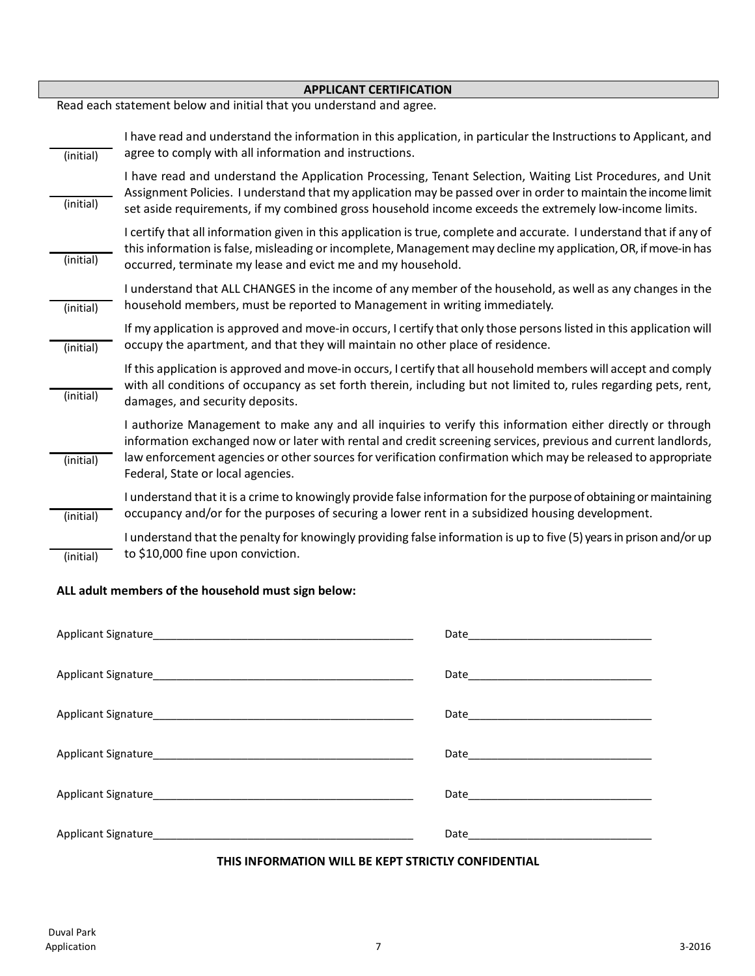| <b>APPLICANT CERTIFICATION</b> |                                                                                                                                                                                                                                                                                                                                                                                  |  |  |
|--------------------------------|----------------------------------------------------------------------------------------------------------------------------------------------------------------------------------------------------------------------------------------------------------------------------------------------------------------------------------------------------------------------------------|--|--|
|                                | Read each statement below and initial that you understand and agree.                                                                                                                                                                                                                                                                                                             |  |  |
| (initial)                      | I have read and understand the information in this application, in particular the Instructions to Applicant, and<br>agree to comply with all information and instructions.                                                                                                                                                                                                       |  |  |
| (initial)                      | I have read and understand the Application Processing, Tenant Selection, Waiting List Procedures, and Unit<br>Assignment Policies. I understand that my application may be passed over in order to maintain the income limit<br>set aside requirements, if my combined gross household income exceeds the extremely low-income limits.                                           |  |  |
| (initial)                      | I certify that all information given in this application is true, complete and accurate. I understand that if any of<br>this information is false, misleading or incomplete, Management may decline my application, OR, if move-in has<br>occurred, terminate my lease and evict me and my household.                                                                            |  |  |
| (initial)                      | I understand that ALL CHANGES in the income of any member of the household, as well as any changes in the<br>household members, must be reported to Management in writing immediately.                                                                                                                                                                                           |  |  |
| (initial)                      | If my application is approved and move-in occurs, I certify that only those persons listed in this application will<br>occupy the apartment, and that they will maintain no other place of residence.                                                                                                                                                                            |  |  |
| (initial)                      | If this application is approved and move-in occurs, I certify that all household members will accept and comply<br>with all conditions of occupancy as set forth therein, including but not limited to, rules regarding pets, rent,<br>damages, and security deposits.                                                                                                           |  |  |
| (initial)                      | I authorize Management to make any and all inquiries to verify this information either directly or through<br>information exchanged now or later with rental and credit screening services, previous and current landlords,<br>law enforcement agencies or other sources for verification confirmation which may be released to appropriate<br>Federal, State or local agencies. |  |  |
| (initial)                      | I understand that it is a crime to knowingly provide false information for the purpose of obtaining or maintaining<br>occupancy and/or for the purposes of securing a lower rent in a subsidized housing development.                                                                                                                                                            |  |  |
| (initial)                      | I understand that the penalty for knowingly providing false information is up to five (5) years in prison and/or up<br>to \$10,000 fine upon conviction.                                                                                                                                                                                                                         |  |  |

### **ALL adult members of the household must sign below:**

#### **THIS INFORMATION WILL BE KEPT STRICTLY CONFIDENTIAL**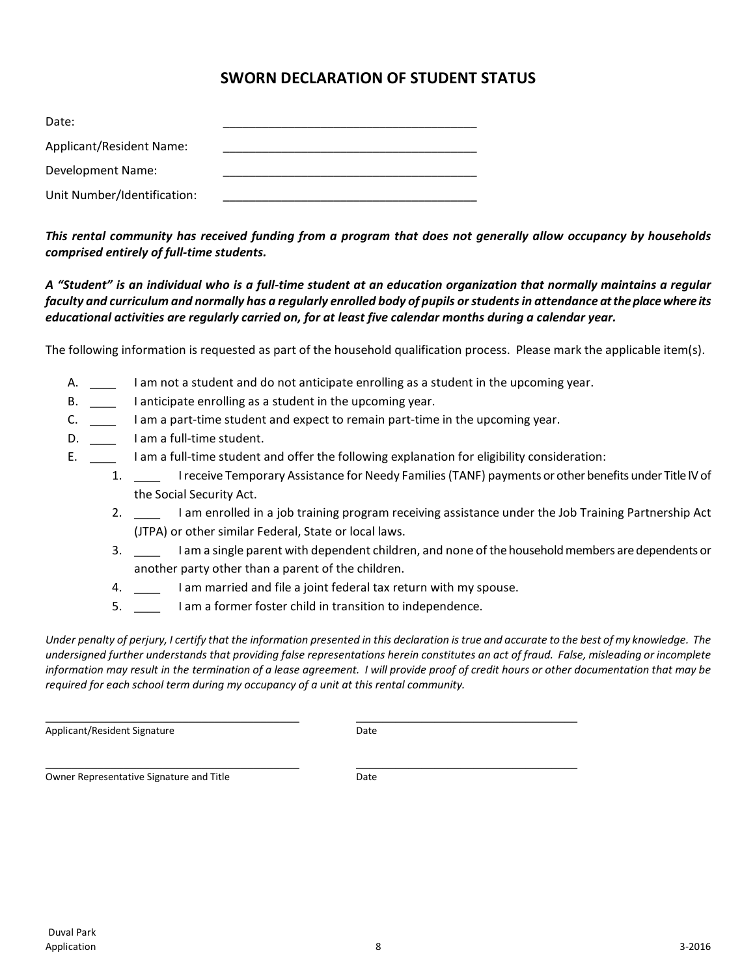## **SWORN DECLARATION OF STUDENT STATUS**

| Date:                       |  |
|-----------------------------|--|
| Applicant/Resident Name:    |  |
| Development Name:           |  |
| Unit Number/Identification: |  |

*This rental community has received funding from a program that does not generally allow occupancy by households comprised entirely of full-time students.*

*A "Student" is an individual who is a full-time student at an education organization that normally maintains a regular faculty and curriculum and normally has a regularly enrolled body of pupils or students in attendance at the place where its educational activities are regularly carried on, for at least five calendar months during a calendar year.*

The following information is requested as part of the household qualification process. Please mark the applicable item(s).

- A. I am not a student and do not anticipate enrolling as a student in the upcoming year.
- B. \_\_\_\_ I anticipate enrolling as a student in the upcoming year.
- C. \_\_\_ I am a part-time student and expect to remain part-time in the upcoming year.
- D. \_\_\_\_\_\_\_ I am a full-time student.
- E. \_\_\_\_ I am a full-time student and offer the following explanation for eligibility consideration:
	- 1. \_\_\_\_ I receive Temporary Assistance for Needy Families (TANF) payments or other benefits under Title IV of the Social Security Act.
		- 2. \_\_\_\_ I am enrolled in a job training program receiving assistance under the Job Training Partnership Act (JTPA) or other similar Federal, State or local laws.
		- 3. \_\_\_\_ I am a single parent with dependent children, and none of the household members are dependents or another party other than a parent of the children.
		- 4. I am married and file a joint federal tax return with my spouse.
		- 5. \_\_\_\_ I am a former foster child in transition to independence.

*Under penalty of perjury, I certify that the information presented in this declaration is true and accurate to the best of my knowledge. The undersigned further understands that providing false representations herein constitutes an act of fraud. False, misleading or incomplete information may result in the termination of a lease agreement. I will provide proof of credit hours or other documentation that may be required for each school term during my occupancy of a unit at this rental community.*

\_\_\_\_\_\_\_\_\_\_\_\_\_\_\_\_\_\_\_\_\_\_\_\_\_\_\_\_\_\_\_\_\_\_\_\_\_\_\_ \_\_\_\_\_\_\_\_\_\_\_\_\_\_\_\_\_\_\_\_\_\_\_\_\_\_\_\_\_\_\_\_\_\_ Applicant/Resident Signature data and the Date

\_\_\_\_\_\_\_\_\_\_\_\_\_\_\_\_\_\_\_\_\_\_\_\_\_\_\_\_\_\_\_\_\_\_\_\_\_\_\_ \_\_\_\_\_\_\_\_\_\_\_\_\_\_\_\_\_\_\_\_\_\_\_\_\_\_\_\_\_\_\_\_\_\_ Owner Representative Signature and Title **Example 20** Date